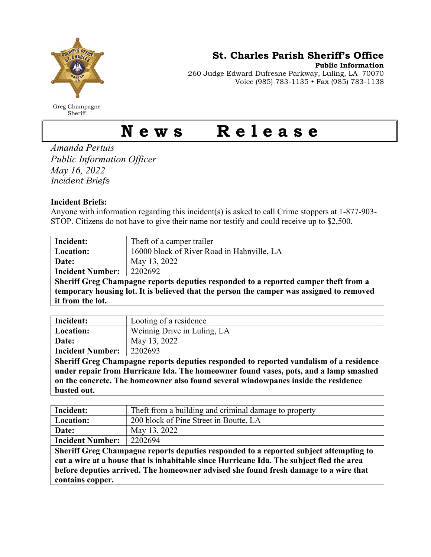

Greg Champagne Sheriff

St. Charles Parish Sheriff's Office

Public Information

260 Judge Edward Dufresne Parkway, Luling, LA 70070 Voice (985) 783-1135 • Fax (985) 783-1138

## News Release

Amanda Pertuis Public Information Officer May 16, 2022 Incident Briefs

## Incident Briefs:

Anyone with information regarding this incident(s) is asked to call Crime stoppers at 1-877-903- STOP. Citizens do not have to give their name nor testify and could receive up to \$2,500.

| Incident:                                                                           | Theft of a camper trailer                                                                                                                                                                                                                                                                |
|-------------------------------------------------------------------------------------|------------------------------------------------------------------------------------------------------------------------------------------------------------------------------------------------------------------------------------------------------------------------------------------|
| Location:                                                                           | 16000 block of River Road in Hahnville, LA                                                                                                                                                                                                                                               |
| Date:                                                                               | May 13, 2022                                                                                                                                                                                                                                                                             |
| <b>Incident Number:</b>                                                             | 2202692                                                                                                                                                                                                                                                                                  |
| Sheriff Greg Champagne reports deputies responded to a reported camper theft from a |                                                                                                                                                                                                                                                                                          |
|                                                                                     | $\mathbf{I}$ , and $\mathbf{I}$ , and $\mathbf{I}$ , and $\mathbf{I}$ , and $\mathbf{I}$ , and $\mathbf{I}$ , and $\mathbf{I}$ , and $\mathbf{I}$ , and $\mathbf{I}$ , and $\mathbf{I}$ , and $\mathbf{I}$ , and $\mathbf{I}$ , and $\mathbf{I}$ , and $\mathbf{I}$ , and $\mathbf{I}$ , |

temporary housing lot. It is believed that the person the camper was assigned to removed it from the lot.

| Incident:               | Looting of a residence      |
|-------------------------|-----------------------------|
| <b>Location:</b>        | Weinnig Drive in Luling, LA |
| Date:                   | May 13, 2022                |
| <b>Incident Number:</b> | 2202693                     |
| ___ _ _ _ _<br>$ -$     | ___                         |

Sheriff Greg Champagne reports deputies responded to reported vandalism of a residence under repair from Hurricane Ida. The homeowner found vases, pots, and a lamp smashed on the concrete. The homeowner also found several windowpanes inside the residence busted out.

| Incident:                                                                                | Theft from a building and criminal damage to property |  |
|------------------------------------------------------------------------------------------|-------------------------------------------------------|--|
| Location:                                                                                | 200 block of Pine Street in Boutte, LA                |  |
| Date:                                                                                    | May 13, 2022                                          |  |
| <b>Incident Number:</b>                                                                  | 2202694                                               |  |
| Sheriff Greg Champagne reports deputies responded to a reported subject attempting to    |                                                       |  |
| cut a wire at a house that is inhabitable since Hurricane Ida. The subject fled the area |                                                       |  |
| before deputies arrived. The homeowner advised she found fresh damage to a wire that     |                                                       |  |
| contains copper.                                                                         |                                                       |  |